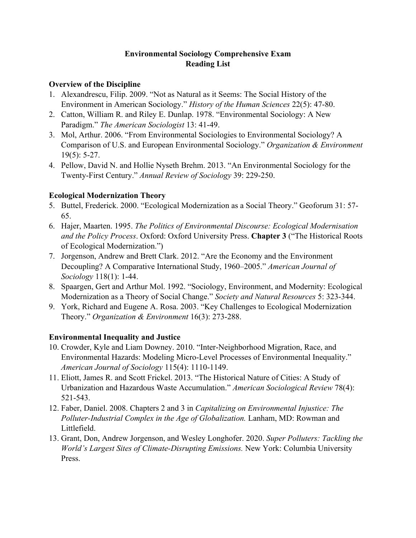## **Environmental Sociology Comprehensive Exam Reading List**

## **Overview of the Discipline**

- 1. Alexandrescu, Filip. 2009. "Not as Natural as it Seems: The Social History of the Environment in American Sociology." *History of the Human Sciences* 22(5): 47-80.
- 2. Catton, William R. and Riley E. Dunlap. 1978. "Environmental Sociology: A New Paradigm." *The American Sociologist* 13: 41-49.
- 3. Mol, Arthur. 2006. "From Environmental Sociologies to Environmental Sociology? A Comparison of U.S. and European Environmental Sociology." *Organization & Environment*  19(5): 5-27.
- 4. Pellow, David N. and Hollie Nyseth Brehm. 2013. "An Environmental Sociology for the Twenty-First Century." *Annual Review of Sociology* 39: 229-250.

# **Ecological Modernization Theory**

- 5. Buttel, Frederick. 2000. "Ecological Modernization as a Social Theory." Geoforum 31: 57- 65.
- 6. Hajer, Maarten. 1995. *The Politics of Environmental Discourse: Ecological Modernisation and the Policy Process*. Oxford: Oxford University Press. **Chapter 3** ("The Historical Roots of Ecological Modernization.")
- 7. Jorgenson, Andrew and Brett Clark. 2012. "Are the Economy and the Environment Decoupling? A Comparative International Study, 1960–2005." *American Journal of Sociology* 118(1): 1-44.
- 8. Spaargen, Gert and Arthur Mol. 1992. "Sociology, Environment, and Modernity: Ecological Modernization as a Theory of Social Change." *Society and Natural Resources* 5: 323-344.
- 9. York, Richard and Eugene A. Rosa. 2003. "Key Challenges to Ecological Modernization Theory." *Organization & Environment* 16(3): 273-288.

# **Environmental Inequality and Justice**

- 10. Crowder, Kyle and Liam Downey. 2010. "Inter-Neighborhood Migration, Race, and Environmental Hazards: Modeling Micro-Level Processes of Environmental Inequality." *American Journal of Sociology* 115(4): 1110-1149.
- 11. Eliott, James R. and Scott Frickel. 2013. "The Historical Nature of Cities: A Study of Urbanization and Hazardous Waste Accumulation." *American Sociological Review* 78(4): 521-543.
- 12. Faber, Daniel. 2008. Chapters 2 and 3 in *Capitalizing on Environmental Injustice: The Polluter-Industrial Complex in the Age of Globalization.* Lanham, MD: Rowman and Littlefield.
- 13. Grant, Don, Andrew Jorgenson, and Wesley Longhofer. 2020. *Super Polluters: Tackling the World's Largest Sites of Climate-Disrupting Emissions.* New York: Columbia University Press.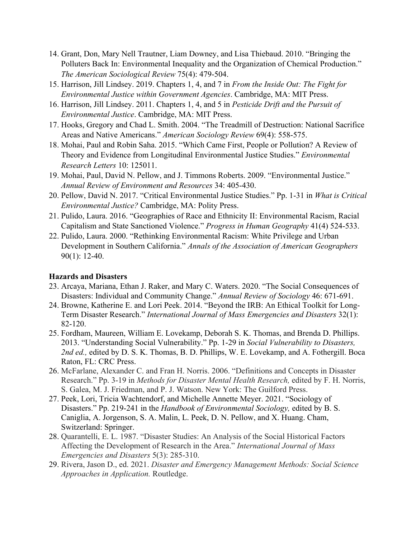- 14. Grant, Don, Mary Nell Trautner, Liam Downey, and Lisa Thiebaud. 2010. "Bringing the Polluters Back In: Environmental Inequality and the Organization of Chemical Production." *The American Sociological Review* 75(4): 479-504.
- 15. Harrison, Jill Lindsey. 2019. Chapters 1, 4, and 7 in *From the Inside Out: The Fight for Environmental Justice within Government Agencies*. Cambridge, MA: MIT Press.
- 16. Harrison, Jill Lindsey. 2011. Chapters 1, 4, and 5 in *Pesticide Drift and the Pursuit of Environmental Justice*. Cambridge, MA: MIT Press.
- 17. Hooks, Gregory and Chad L. Smith. 2004. "The Treadmill of Destruction: National Sacrifice Areas and Native Americans." *American Sociology Review* 69(4): 558-575.
- 18. Mohai, Paul and Robin Saha. 2015. "Which Came First, People or Pollution? A Review of Theory and Evidence from Longitudinal Environmental Justice Studies." *Environmental Research Letters* 10: 125011.
- 19. Mohai, Paul, David N. Pellow, and J. Timmons Roberts. 2009. "Environmental Justice." *Annual Review of Environment and Resources* 34: 405-430.
- 20. Pellow, David N. 2017. "Critical Environmental Justice Studies." Pp. 1-31 in *What is Critical Environmental Justice?* Cambridge, MA: Polity Press.
- 21. Pulido, Laura. 2016. "Geographies of Race and Ethnicity II: Environmental Racism, Racial Capitalism and State Sanctioned Violence." *Progress in Human Geography* 41(4) 524-533.
- 22. Pulido, Laura. 2000. "Rethinking Environmental Racism: White Privilege and Urban Development in Southern California." *Annals of the Association of American Geographers* 90(1): 12-40.

## **Hazards and Disasters**

- 23. Arcaya, Mariana, Ethan J. Raker, and Mary C. Waters. 2020. "The Social Consequences of Disasters: Individual and Community Change." *Annual Review of Sociology* 46: 671-691.
- 24. Browne, Katherine E. and Lori Peek. 2014. "Beyond the IRB: An Ethical Toolkit for Long-Term Disaster Research." *International Journal of Mass Emergencies and Disasters* 32(1): 82-120.
- 25. Fordham, Maureen, William E. Lovekamp, Deborah S. K. Thomas, and Brenda D. Phillips. 2013. "Understanding Social Vulnerability." Pp. 1-29 in *Social Vulnerability to Disasters, 2nd ed.,* edited by D. S. K. Thomas, B. D. Phillips, W. E. Lovekamp, and A. Fothergill. Boca Raton, FL: CRC Press.
- 26. McFarlane, Alexander C. and Fran H. Norris. 2006. "Definitions and Concepts in Disaster Research." Pp. 3-19 in *Methods for Disaster Mental Health Research,* edited by F. H. Norris, S. Galea, M. J. Friedman, and P. J. Watson. New York: The Guilford Press.
- 27. Peek, Lori, Tricia Wachtendorf, and Michelle Annette Meyer. 2021. "Sociology of Disasters." Pp. 219-241 in the *Handbook of Environmental Sociology,* edited by B. S. Caniglia, A. Jorgenson, S. A. Malin, L. Peek, D. N. Pellow, and X. Huang. Cham, Switzerland: Springer.
- 28. Quarantelli, E. L. 1987. "Disaster Studies: An Analysis of the Social Historical Factors Affecting the Development of Research in the Area." *International Journal of Mass Emergencies and Disasters* 5(3): 285-310.
- 29. Rivera, Jason D., ed. 2021. *Disaster and Emergency Management Methods: Social Science Approaches in Application.* Routledge.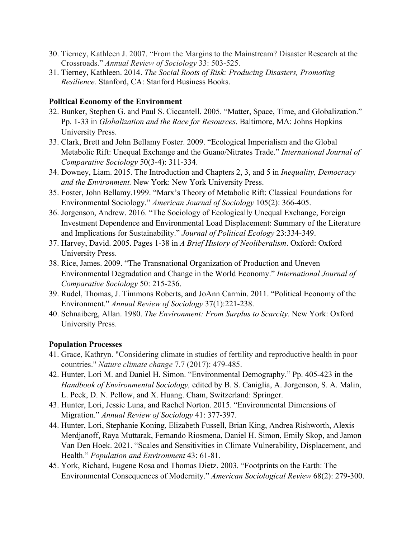- 30. Tierney, Kathleen J. 2007. "From the Margins to the Mainstream? Disaster Research at the Crossroads." *Annual Review of Sociology* 33: 503-525.
- 31. Tierney, Kathleen. 2014. *The Social Roots of Risk: Producing Disasters, Promoting Resilience.* Stanford, CA: Stanford Business Books.

#### **Political Economy of the Environment**

- 32. Bunker, Stephen G. and Paul S. Ciccantell. 2005. "Matter, Space, Time, and Globalization." Pp. 1-33 in *Globalization and the Race for Resources*. Baltimore, MA: Johns Hopkins University Press.
- 33. Clark, Brett and John Bellamy Foster. 2009. "Ecological Imperialism and the Global Metabolic Rift: Unequal Exchange and the Guano/Nitrates Trade." *International Journal of Comparative Sociology* 50(3-4): 311-334.
- 34. Downey, Liam. 2015. The Introduction and Chapters 2, 3, and 5 in *Inequality, Democracy and the Environment.* New York: New York University Press.
- 35. Foster, John Bellamy.1999. "Marx's Theory of Metabolic Rift: Classical Foundations for Environmental Sociology." *American Journal of Sociology* 105(2): 366-405.
- 36. Jorgenson, Andrew. 2016. "The Sociology of Ecologically Unequal Exchange, Foreign Investment Dependence and Environmental Load Displacement: Summary of the Literature and Implications for Sustainability." *Journal of Political Ecology* 23:334-349.
- 37. Harvey, David. 2005. Pages 1-38 in *A Brief History of Neoliberalism*. Oxford: Oxford University Press.
- 38. Rice, James. 2009. "The Transnational Organization of Production and Uneven Environmental Degradation and Change in the World Economy." *International Journal of Comparative Sociology* 50: 215-236.
- 39. Rudel, Thomas, J. Timmons Roberts, and JoAnn Carmin. 2011. "Political Economy of the Environment." *Annual Review of Sociology* 37(1):221-238.
- 40. Schnaiberg, Allan. 1980. *The Environment: From Surplus to Scarcity*. New York: Oxford University Press.

## **Population Processes**

- 41. Grace, Kathryn. "Considering climate in studies of fertility and reproductive health in poor countries." *Nature climate change* 7.7 (2017): 479-485.
- 42. Hunter, Lori M. and Daniel H. Simon. "Environmental Demography." Pp. 405-423 in the *Handbook of Environmental Sociology,* edited by B. S. Caniglia, A. Jorgenson, S. A. Malin, L. Peek, D. N. Pellow, and X. Huang. Cham, Switzerland: Springer.
- 43. Hunter, Lori, Jessie Luna, and Rachel Norton. 2015. "Environmental Dimensions of Migration." *Annual Review of Sociology* 41: 377-397.
- 44. Hunter, Lori, Stephanie Koning, Elizabeth Fussell, Brian King, Andrea Rishworth, Alexis Merdjanoff, Raya Muttarak, Fernando Riosmena, Daniel H. Simon, Emily Skop, and Jamon Van Den Hoek. 2021. "Scales and Sensitivities in Climate Vulnerability, Displacement, and Health." *Population and Environment* 43: 61-81.
- 45. York, Richard, Eugene Rosa and Thomas Dietz. 2003. "Footprints on the Earth: The Environmental Consequences of Modernity." *American Sociological Review* 68(2): 279-300.